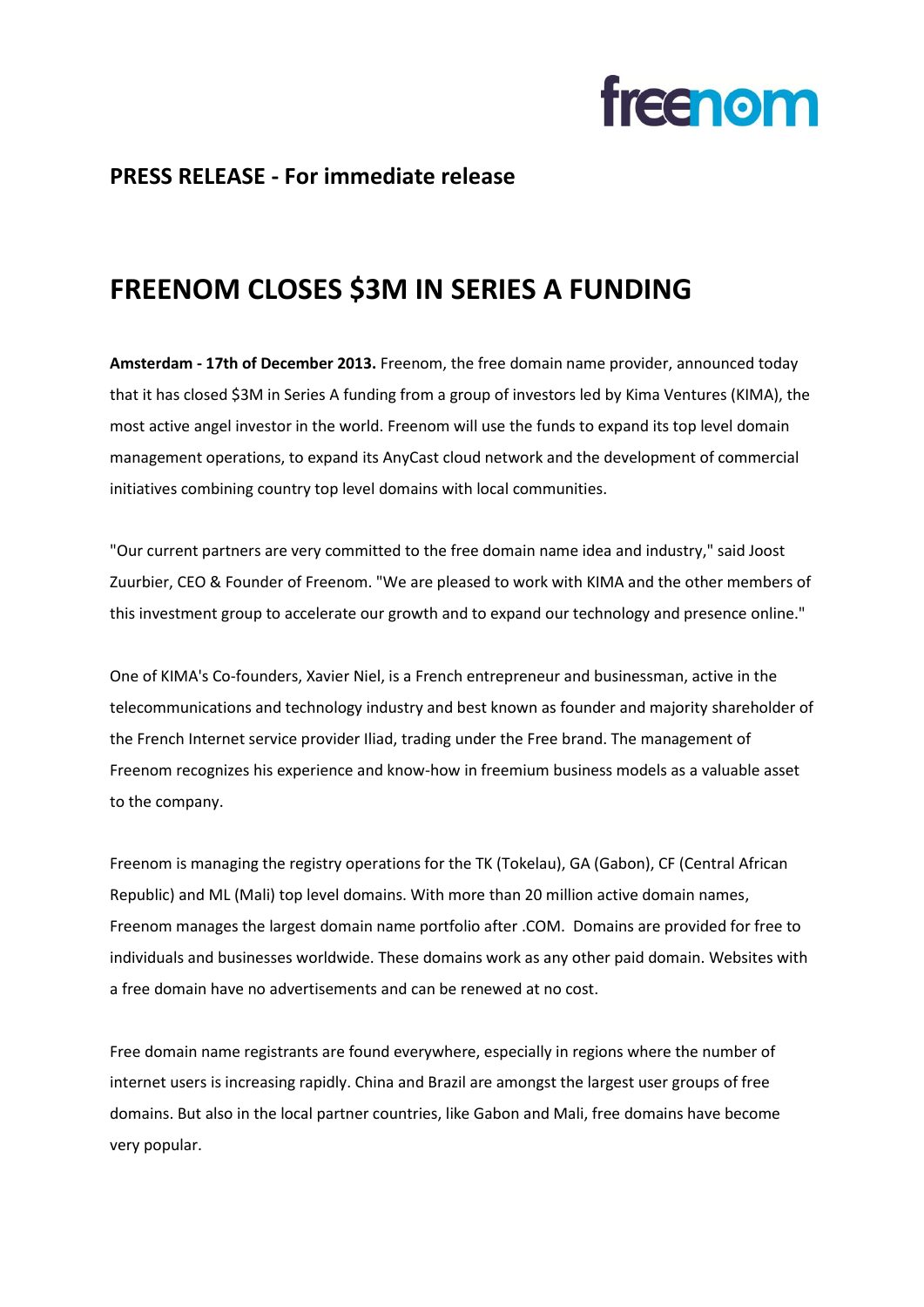

## **PRESS RELEASE - For immediate release**

## **FREENOM CLOSES \$3M IN SERIES A FUNDING**

**Amsterdam - 17th of December 2013.** Freenom, the free domain name provider, announced today that it has closed \$3M in Series A funding from a group of investors led by Kima Ventures (KIMA), the most active angel investor in the world. Freenom will use the funds to expand its top level domain management operations, to expand its AnyCast cloud network and the development of commercial initiatives combining country top level domains with local communities.

"Our current partners are very committed to the free domain name idea and industry," said Joost Zuurbier, CEO & Founder of Freenom. "We are pleased to work with KIMA and the other members of this investment group to accelerate our growth and to expand our technology and presence online."

One of KIMA's Co-founders, Xavier Niel, is a French entrepreneur and businessman, active in the telecommunications and technology industry and best known as founder and majority shareholder of the French Internet service provider Iliad, trading under the Free brand. The management of Freenom recognizes his experience and know-how in freemium business models as a valuable asset to the company.

Freenom is managing the registry operations for the TK (Tokelau), GA (Gabon), CF (Central African Republic) and ML (Mali) top level domains. With more than 20 million active domain names, Freenom manages the largest domain name portfolio after .COM. Domains are provided for free to individuals and businesses worldwide. These domains work as any other paid domain. Websites with a free domain have no advertisements and can be renewed at no cost.

Free domain name registrants are found everywhere, especially in regions where the number of internet users is increasing rapidly. China and Brazil are amongst the largest user groups of free domains. But also in the local partner countries, like Gabon and Mali, free domains have become very popular.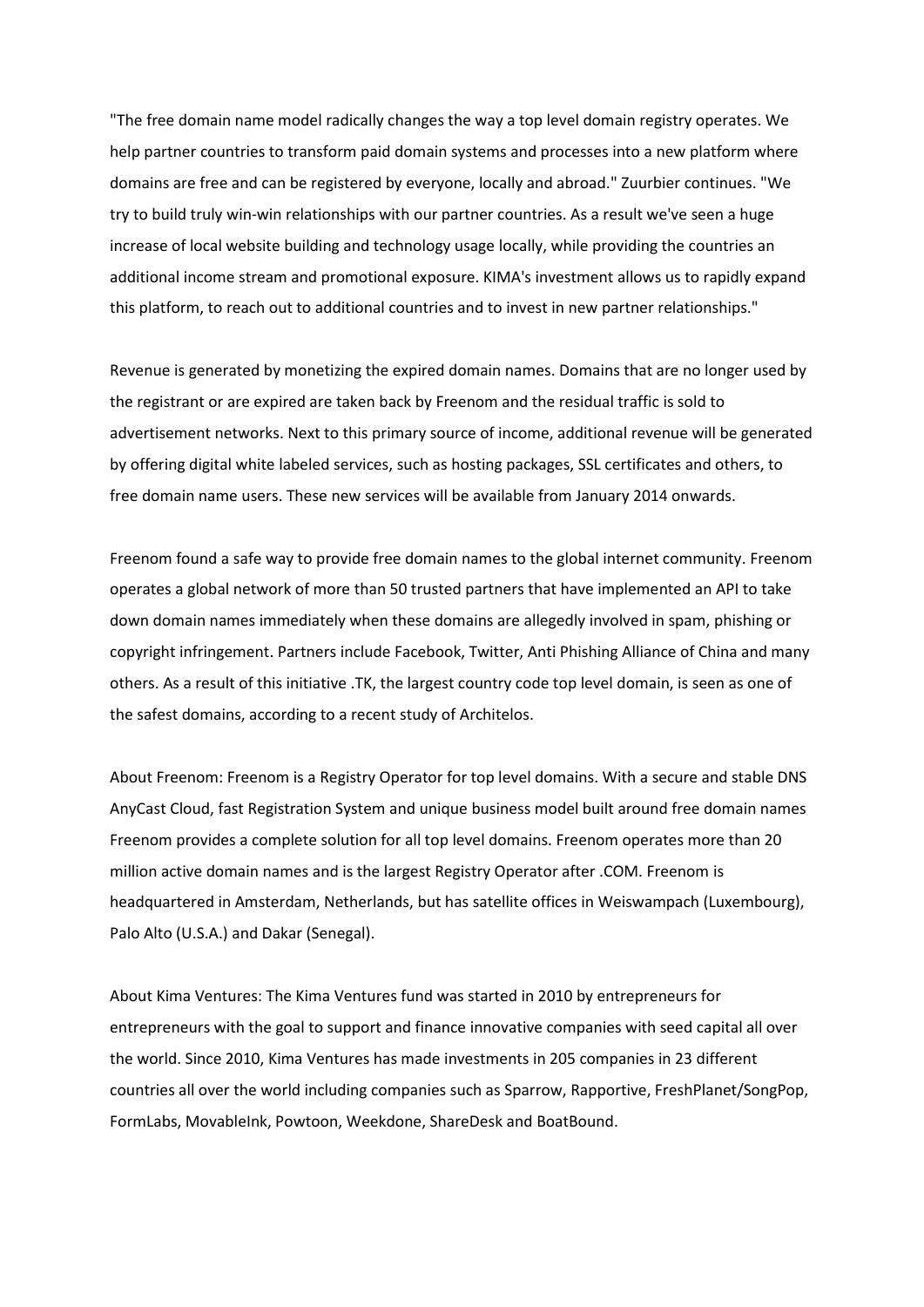"The free domain name model radically changes the way a top level domain registry operates. We help partner countries to transform paid domain systems and processes into a new platform where domains are free and can be registered by everyone, locally and abroad." Zuurbier continues. "We try to build truly win-win relationships with our partner countries. As a result we've seen a huge increase of local website building and technology usage locally, while providing the countries an additional income stream and promotional exposure. KIMA's investment allows us to rapidly expand this platform, to reach out to additional countries and to invest in new partner relationships."

Revenue is generated by monetizing the expired domain names. Domains that are no longer used by the registrant or are expired are taken back by Freenom and the residual traffic is sold to advertisement networks. Next to this primary source of income, additional revenue will be generated by offering digital white labeled services, such as hosting packages, SSL certificates and others, to free domain name users. These new services will be available from January 2014 onwards.

Freenom found a safe way to provide free domain names to the global internet community. Freenom operates a global network of more than 50 trusted partners that have implemented an API to take down domain names immediately when these domains are allegedly involved in spam, phishing or copyright infringement. Partners include Facebook, Twitter, Anti Phishing Alliance of China and many others. As a result of this initiative .TK, the largest country code top level domain, is seen as one of the safest domains, according to a recent study of Architelos.

About Freenom: Freenom is a Registry Operator for top level domains. With a secure and stable DNS AnyCast Cloud, fast Registration System and unique business model built around free domain names Freenom provides a complete solution for all top level domains. Freenom operates more than 20 million active domain names and is the largest Registry Operator after .COM. Freenom is headquartered in Amsterdam, Netherlands, but has satellite offices in Weiswampach (Luxembourg), Palo Alto (U.S.A.) and Dakar (Senegal).

About Kima Ventures: The Kima Ventures fund was started in 2010 by entrepreneurs for entrepreneurs with the goal to support and finance innovative companies with seed capital all over the world. Since 2010, Kima Ventures has made investments in 205 companies in 23 different countries all over the world including companies such as Sparrow, Rapportive, FreshPlanet/SongPop, FormLabs, MovableInk, Powtoon, Weekdone, ShareDesk and BoatBound.